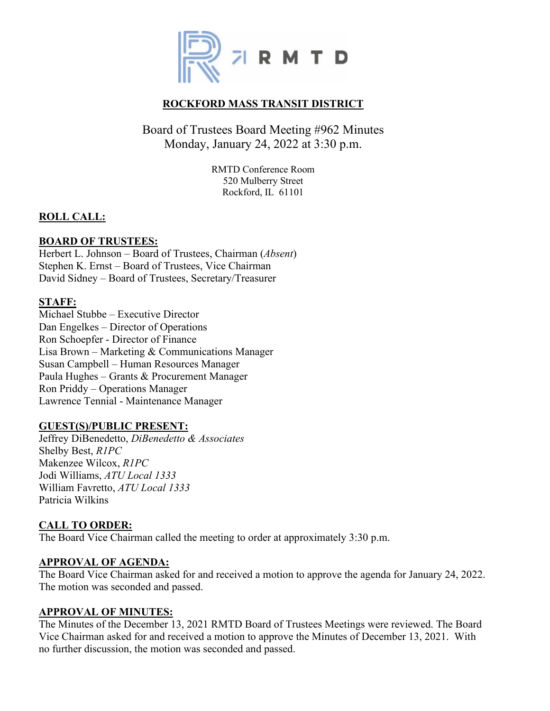

# **ROCKFORD MASS TRANSIT DISTRICT**

# Board of Trustees Board Meeting #962 Minutes Monday, January 24, 2022 at 3:30 p.m.

RMTD Conference Room 520 Mulberry Street Rockford, IL 61101

## **ROLL CALL:**

## **BOARD OF TRUSTEES:**

Herbert L. Johnson – Board of Trustees, Chairman (*Absent*) Stephen K. Ernst – Board of Trustees, Vice Chairman David Sidney – Board of Trustees, Secretary/Treasurer

## **STAFF:**

Michael Stubbe – Executive Director Dan Engelkes – Director of Operations Ron Schoepfer - Director of Finance Lisa Brown – Marketing & Communications Manager Susan Campbell – Human Resources Manager Paula Hughes – Grants & Procurement Manager Ron Priddy – Operations Manager Lawrence Tennial - Maintenance Manager

## **GUEST(S)/PUBLIC PRESENT:**

Jeffrey DiBenedetto, *DiBenedetto & Associates* Shelby Best, *R1PC* Makenzee Wilcox, *R1PC* Jodi Williams, *ATU Local 1333* William Favretto, *ATU Local 1333* Patricia Wilkins

## **CALL TO ORDER:**

The Board Vice Chairman called the meeting to order at approximately 3:30 p.m.

## **APPROVAL OF AGENDA:**

The Board Vice Chairman asked for and received a motion to approve the agenda for January 24, 2022. The motion was seconded and passed.

#### **APPROVAL OF MINUTES:**

The Minutes of the December 13, 2021 RMTD Board of Trustees Meetings were reviewed. The Board Vice Chairman asked for and received a motion to approve the Minutes of December 13, 2021. With no further discussion, the motion was seconded and passed.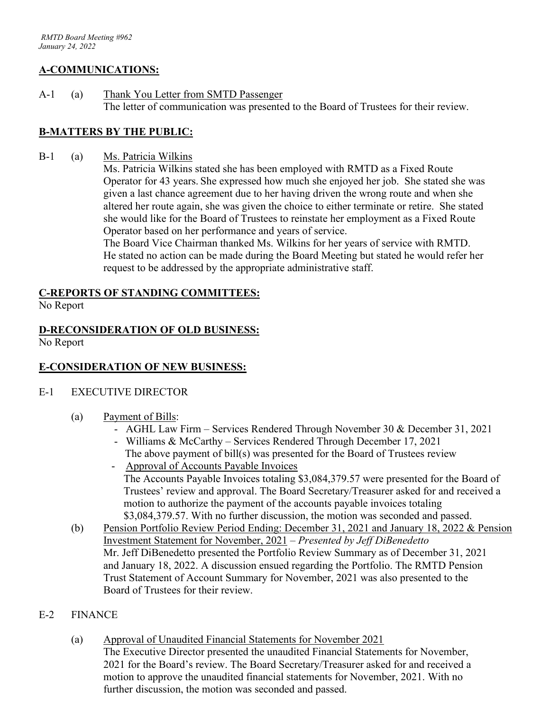## **A-COMMUNICATIONS:**

A-1 (a) Thank You Letter from SMTD Passenger The letter of communication was presented to the Board of Trustees for their review.

## **B-MATTERS BY THE PUBLIC:**

B-1 (a) Ms. Patricia Wilkins

Ms. Patricia Wilkins stated she has been employed with RMTD as a Fixed Route Operator for 43 years. She expressed how much she enjoyed her job. She stated she was given a last chance agreement due to her having driven the wrong route and when she altered her route again, she was given the choice to either terminate or retire. She stated she would like for the Board of Trustees to reinstate her employment as a Fixed Route Operator based on her performance and years of service.

The Board Vice Chairman thanked Ms. Wilkins for her years of service with RMTD. He stated no action can be made during the Board Meeting but stated he would refer her request to be addressed by the appropriate administrative staff.

## **C-REPORTS OF STANDING COMMITTEES:**

No Report

# **D-RECONSIDERATION OF OLD BUSINESS:**

No Report

## **E-CONSIDERATION OF NEW BUSINESS:**

## E-1 EXECUTIVE DIRECTOR

- (a) Payment of Bills:
	- AGHL Law Firm Services Rendered Through November 30 & December 31, 2021
	- Williams & McCarthy Services Rendered Through December 17, 2021 The above payment of bill(s) was presented for the Board of Trustees review
	- Approval of Accounts Payable Invoices The Accounts Payable Invoices totaling \$3,084,379.57 were presented for the Board of Trustees' review and approval. The Board Secretary/Treasurer asked for and received a motion to authorize the payment of the accounts payable invoices totaling \$3,084,379.57. With no further discussion, the motion was seconded and passed.
- (b) Pension Portfolio Review Period Ending: December 31, 2021 and January 18, 2022 & Pension Investment Statement for November, 2021 – *Presented by Jeff DiBenedetto* Mr. Jeff DiBenedetto presented the Portfolio Review Summary as of December 31, 2021 and January 18, 2022. A discussion ensued regarding the Portfolio. The RMTD Pension Trust Statement of Account Summary for November, 2021 was also presented to the Board of Trustees for their review.

## E-2 FINANCE

(a) Approval of Unaudited Financial Statements for November 2021 The Executive Director presented the unaudited Financial Statements for November, 2021 for the Board's review. The Board Secretary/Treasurer asked for and received a motion to approve the unaudited financial statements for November, 2021. With no further discussion, the motion was seconded and passed.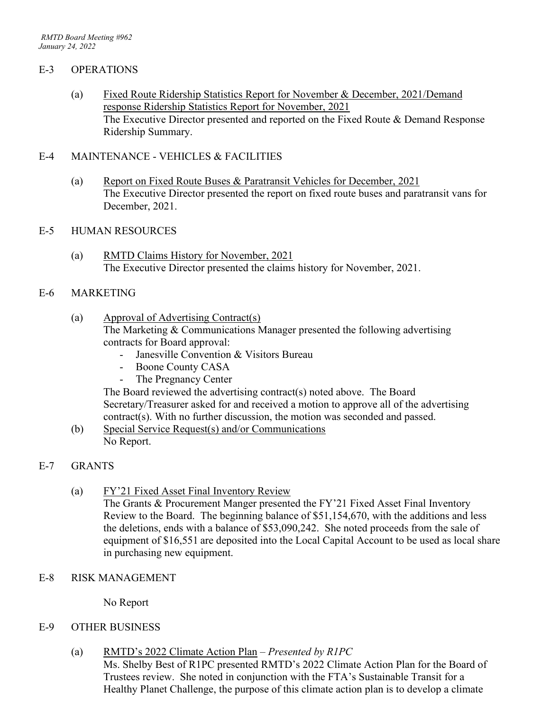#### E-3 OPERATIONS

(a) Fixed Route Ridership Statistics Report for November & December, 2021/Demand response Ridership Statistics Report for November, 2021 The Executive Director presented and reported on the Fixed Route & Demand Response Ridership Summary.

#### E-4 MAINTENANCE - VEHICLES & FACILITIES

(a) Report on Fixed Route Buses & Paratransit Vehicles for December, 2021 The Executive Director presented the report on fixed route buses and paratransit vans for December, 2021.

#### E-5 HUMAN RESOURCES

(a) RMTD Claims History for November, 2021 The Executive Director presented the claims history for November, 2021.

#### E-6 MARKETING

- (a) Approval of Advertising Contract(s) The Marketing & Communications Manager presented the following advertising
	- contracts for Board approval:
		- Janesville Convention & Visitors Bureau
		- Boone County CASA
		- The Pregnancy Center

The Board reviewed the advertising contract(s) noted above. The Board Secretary/Treasurer asked for and received a motion to approve all of the advertising contract(s). With no further discussion, the motion was seconded and passed.

(b) Special Service Request(s) and/or Communications No Report.

## E-7 GRANTS

(a) FY'21 Fixed Asset Final Inventory Review

The Grants & Procurement Manger presented the FY'21 Fixed Asset Final Inventory Review to the Board. The beginning balance of \$51,154,670, with the additions and less the deletions, ends with a balance of \$53,090,242. She noted proceeds from the sale of equipment of \$16,551 are deposited into the Local Capital Account to be used as local share in purchasing new equipment.

E-8 RISK MANAGEMENT

No Report

## E-9 OTHER BUSINESS

(a) RMTD's 2022 Climate Action Plan – *Presented by R1PC*

Ms. Shelby Best of R1PC presented RMTD's 2022 Climate Action Plan for the Board of Trustees review. She noted in conjunction with the FTA's Sustainable Transit for a Healthy Planet Challenge, the purpose of this climate action plan is to develop a climate